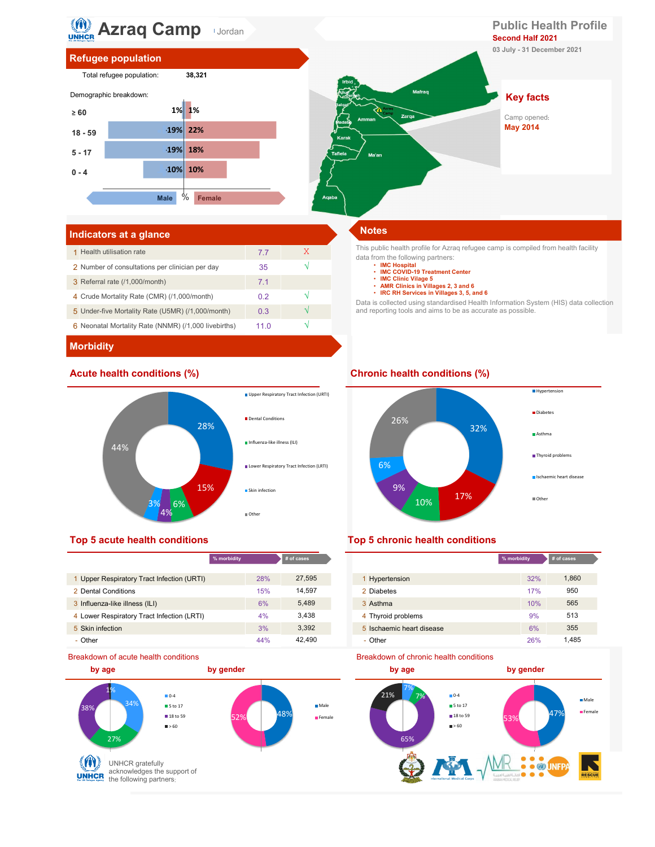

# Refugee population



# Male % Female **Agaba** and **Agaba** and **Agaba** and **Agaba** and **Agaba** and **Agaba** and **Agaba** and **Agaba** and **Agaba** and **Agaba** and **Agaba** and **Agaba** and **Agaba** and **Agaba** and **Agaba** and **Agaba** and **Agaba** and **Aga** 10% and the contract of the contract of the contract of the contract of the contract of the contract of the con  $\sim$  18% and  $\sim$  18% and  $\sim$  18% and  $\sim$  18% and  $\sim$  18% and  $\sim$  18% and  $\sim$  18% and  $\sim$  18% and  $\sim$  18% and  $\sim$  18% and  $\sim$  18% and  $\sim$  18% and  $\sim$  18% and  $\sim$  18% and  $\sim$  18% and  $\sim$  18% and  $\sim$  18% and 22% and the contract of the contract of the contract of the contract of the contract of the contract of the con  $\sum_{\text{comp}}$  and  $\sum_{\text{comp}}$  and  $\sum_{\text{comp}}$ -10%  $19\%$  18% 19% 22% and the contract of the contract of the contract of the contract of the contract of the contract of the contract of the contract of the contract of the contract of the contract of the contract of the contract of th Acute health conditions (%)<br>
Acute health conditions (%)<br>
Acute health conditions (%)<br>
Chronic health conditions (%)<br>
Chronic health conditions (%)<br>
Chronic health conditions (%)<br>
Chronic health conditions (%)<br>
Chronic he Key facts ublic Health Profile<br>
cond Half 2021<br>
Uuly - 31 December 2021<br>
Key facts<br>
Camp opened:<br>
May 2014 Second Half 2021 **Public Health Profile**<br>
Second Half 2021<br>
03 July - 31 December 2021<br> **Key facts**<br>
Camp opened:

# Indicators at a glance Notes

| 1 Health utilisation rate                            | 77   | X |
|------------------------------------------------------|------|---|
| 2 Number of consultations per clinician per day      | 35   |   |
| 3 Referral rate (/1,000/month)                       | 71   |   |
| 4 Crude Mortality Rate (CMR) (/1,000/month)          | 0.2  |   |
| 5 Under-five Mortality Rate (U5MR) (/1,000/month)    | 0.3  |   |
| 6 Neonatal Mortality Rate (NNMR) (/1,000 livebirths) | 11 N |   |

This public health profile for Azraq refugee camp is compiled from health facility data from the following partners:

- IMC Hospital<br>• IMC COVID-19 Treatment Center
- 
- IMC Clinic Vilage 5 AMR Clinics in Villages 2, 3 and 6
- IRC RH Services in Villages 3, 5, and 6

Data is collected using standardised Health Information System (HIS) data collection and reporting tools and aims to be as accurate as possible.

# **Morbidity**



|                                            | % morbidity | # of cases |                           | % morbidity |
|--------------------------------------------|-------------|------------|---------------------------|-------------|
|                                            |             |            |                           |             |
| 1 Upper Respiratory Tract Infection (URTI) | 28%         | 27.595     | Hypertension              | 32%         |
| 2 Dental Conditions                        | 15%         | 14.597     | 2 Diabetes                | 17%         |
| 3 Influenza-like illness (ILI)             | 6%          | 5,489      | 3 Asthma                  | 10%         |
| 4 Lower Respiratory Tract Infection (LRTI) | 4%          | 3.438      | 4 Thyroid problems        | 9%          |
| 5 Skin infection                           | 3%          | 3.392      | 5 Ischaemic heart disease | 6%          |
| - Other                                    | 44%         | 42.490     | - Other                   | 26%         |





| cases  |                           | % morbidity | # of cases |  |
|--------|---------------------------|-------------|------------|--|
| 27,595 | 1 Hypertension            | 32%         | 1,860      |  |
| 14,597 | 2 Diabetes                | 17%         | 950        |  |
| 5,489  | 3 Asthma                  | 10%         | 565        |  |
| 3,438  | 4 Thyroid problems        | 9%          | 513        |  |
| 3,392  | 5 Ischaemic heart disease | 6%          | 355        |  |
| 42,490 | - Other                   | 26%         | 1,485      |  |